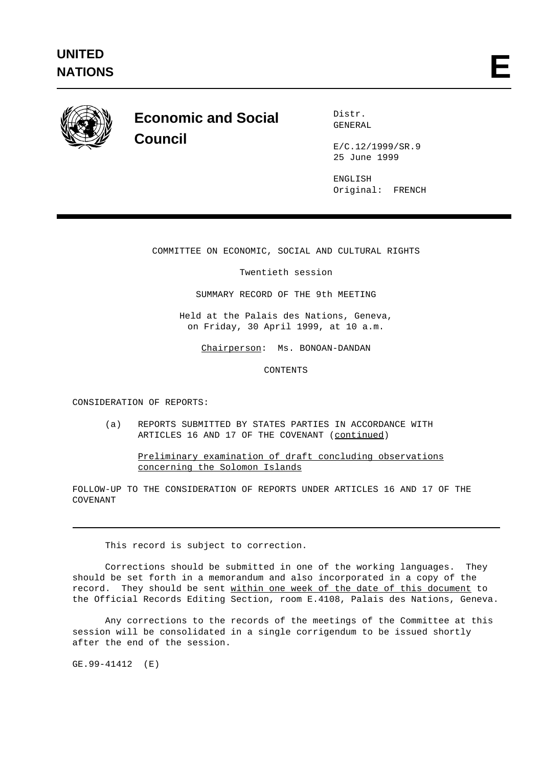

## **Economic and Social Council**

Distr. GENERAL

E/C.12/1999/SR.9 25 June 1999

ENGLISH Original: FRENCH

COMMITTEE ON ECONOMIC, SOCIAL AND CULTURAL RIGHTS

Twentieth session

SUMMARY RECORD OF THE 9th MEETING

Held at the Palais des Nations, Geneva, on Friday, 30 April 1999, at 10 a.m.

Chairperson: Ms. BONOAN-DANDAN

CONTENTS

CONSIDERATION OF REPORTS:

(a) REPORTS SUBMITTED BY STATES PARTIES IN ACCORDANCE WITH ARTICLES 16 AND 17 OF THE COVENANT (continued)

Preliminary examination of draft concluding observations concerning the Solomon Islands

FOLLOW-UP TO THE CONSIDERATION OF REPORTS UNDER ARTICLES 16 AND 17 OF THE COVENANT

This record is subject to correction.

Corrections should be submitted in one of the working languages. They should be set forth in a memorandum and also incorporated in a copy of the record. They should be sent within one week of the date of this document to the Official Records Editing Section, room E.4108, Palais des Nations, Geneva.

Any corrections to the records of the meetings of the Committee at this session will be consolidated in a single corrigendum to be issued shortly after the end of the session.

GE.99-41412 (E)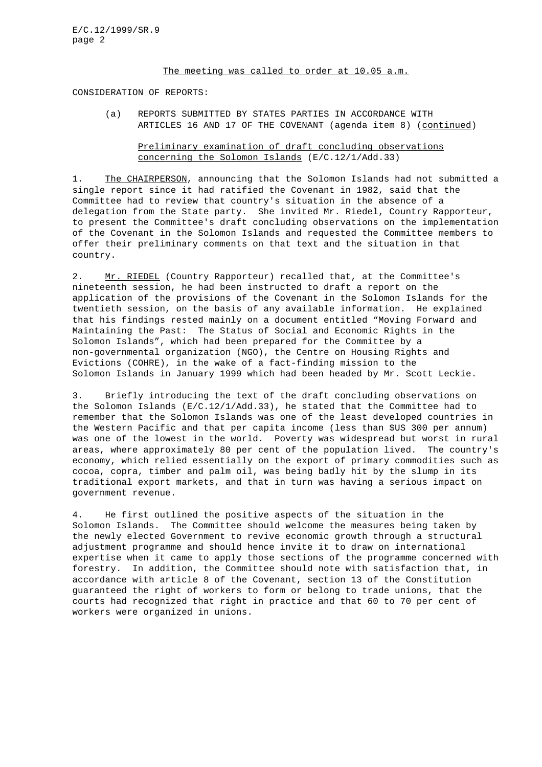## The meeting was called to order at 10.05 a.m.

CONSIDERATION OF REPORTS:

(a) REPORTS SUBMITTED BY STATES PARTIES IN ACCORDANCE WITH ARTICLES 16 AND 17 OF THE COVENANT (agenda item 8) (continued)

## Preliminary examination of draft concluding observations concerning the Solomon Islands (E/C.12/1/Add.33)

1. The CHAIRPERSON, announcing that the Solomon Islands had not submitted a single report since it had ratified the Covenant in 1982, said that the Committee had to review that country's situation in the absence of a delegation from the State party. She invited Mr. Riedel, Country Rapporteur, to present the Committee's draft concluding observations on the implementation of the Covenant in the Solomon Islands and requested the Committee members to offer their preliminary comments on that text and the situation in that country.

2. Mr. RIEDEL (Country Rapporteur) recalled that, at the Committee's nineteenth session, he had been instructed to draft a report on the application of the provisions of the Covenant in the Solomon Islands for the twentieth session, on the basis of any available information. He explained that his findings rested mainly on a document entitled "Moving Forward and Maintaining the Past: The Status of Social and Economic Rights in the Solomon Islands", which had been prepared for the Committee by a non-governmental organization (NGO), the Centre on Housing Rights and Evictions (COHRE), in the wake of a fact-finding mission to the Solomon Islands in January 1999 which had been headed by Mr. Scott Leckie.

3. Briefly introducing the text of the draft concluding observations on the Solomon Islands (E/C.12/1/Add.33), he stated that the Committee had to remember that the Solomon Islands was one of the least developed countries in the Western Pacific and that per capita income (less than \$US 300 per annum) was one of the lowest in the world. Poverty was widespread but worst in rural areas, where approximately 80 per cent of the population lived. The country's economy, which relied essentially on the export of primary commodities such as cocoa, copra, timber and palm oil, was being badly hit by the slump in its traditional export markets, and that in turn was having a serious impact on government revenue.

4. He first outlined the positive aspects of the situation in the Solomon Islands. The Committee should welcome the measures being taken by the newly elected Government to revive economic growth through a structural adjustment programme and should hence invite it to draw on international expertise when it came to apply those sections of the programme concerned with forestry. In addition, the Committee should note with satisfaction that, in accordance with article 8 of the Covenant, section 13 of the Constitution guaranteed the right of workers to form or belong to trade unions, that the courts had recognized that right in practice and that 60 to 70 per cent of workers were organized in unions.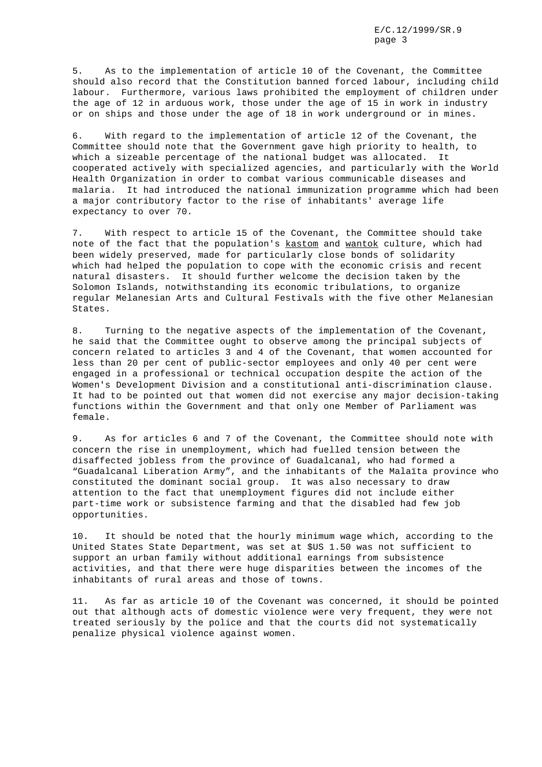5. As to the implementation of article 10 of the Covenant, the Committee should also record that the Constitution banned forced labour, including child labour. Furthermore, various laws prohibited the employment of children under the age of 12 in arduous work, those under the age of 15 in work in industry or on ships and those under the age of 18 in work underground or in mines.

6. With regard to the implementation of article 12 of the Covenant, the Committee should note that the Government gave high priority to health, to which a sizeable percentage of the national budget was allocated. It cooperated actively with specialized agencies, and particularly with the World Health Organization in order to combat various communicable diseases and malaria. It had introduced the national immunization programme which had been a major contributory factor to the rise of inhabitants' average life expectancy to over 70.

7. With respect to article 15 of the Covenant, the Committee should take note of the fact that the population's kastom and wantok culture, which had been widely preserved, made for particularly close bonds of solidarity which had helped the population to cope with the economic crisis and recent natural disasters. It should further welcome the decision taken by the Solomon Islands, notwithstanding its economic tribulations, to organize regular Melanesian Arts and Cultural Festivals with the five other Melanesian States.

8. Turning to the negative aspects of the implementation of the Covenant, he said that the Committee ought to observe among the principal subjects of concern related to articles 3 and 4 of the Covenant, that women accounted for less than 20 per cent of public-sector employees and only 40 per cent were engaged in a professional or technical occupation despite the action of the Women's Development Division and a constitutional anti-discrimination clause. It had to be pointed out that women did not exercise any major decision-taking functions within the Government and that only one Member of Parliament was female.

9. As for articles 6 and 7 of the Covenant, the Committee should note with concern the rise in unemployment, which had fuelled tension between the disaffected jobless from the province of Guadalcanal, who had formed a "Guadalcanal Liberation Army", and the inhabitants of the Malaïta province who constituted the dominant social group. It was also necessary to draw attention to the fact that unemployment figures did not include either part-time work or subsistence farming and that the disabled had few job opportunities.

10. It should be noted that the hourly minimum wage which, according to the United States State Department, was set at \$US 1.50 was not sufficient to support an urban family without additional earnings from subsistence activities, and that there were huge disparities between the incomes of the inhabitants of rural areas and those of towns.

11. As far as article 10 of the Covenant was concerned, it should be pointed out that although acts of domestic violence were very frequent, they were not treated seriously by the police and that the courts did not systematically penalize physical violence against women.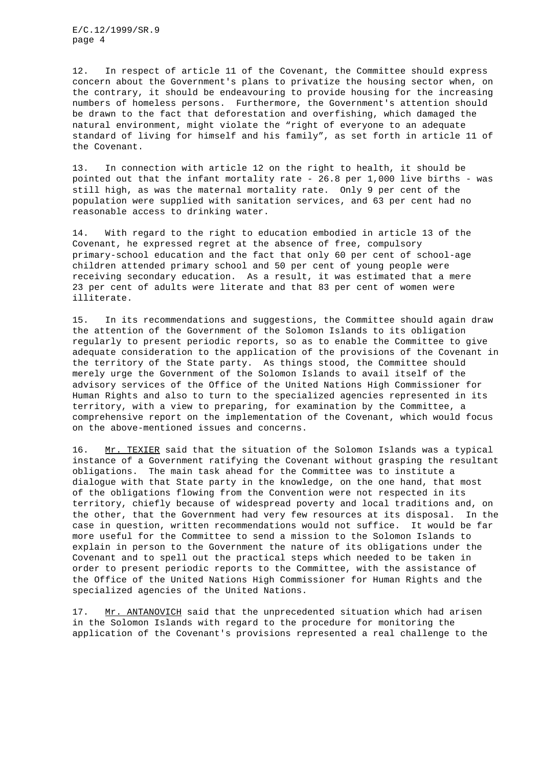12. In respect of article 11 of the Covenant, the Committee should express concern about the Government's plans to privatize the housing sector when, on the contrary, it should be endeavouring to provide housing for the increasing numbers of homeless persons. Furthermore, the Government's attention should be drawn to the fact that deforestation and overfishing, which damaged the natural environment, might violate the "right of everyone to an adequate standard of living for himself and his family", as set forth in article 11 of the Covenant.

13. In connection with article 12 on the right to health, it should be pointed out that the infant mortality rate - 26.8 per 1,000 live births - was still high, as was the maternal mortality rate. Only 9 per cent of the population were supplied with sanitation services, and 63 per cent had no reasonable access to drinking water.

14. With regard to the right to education embodied in article 13 of the Covenant, he expressed regret at the absence of free, compulsory primary-school education and the fact that only 60 per cent of school-age children attended primary school and 50 per cent of young people were receiving secondary education. As a result, it was estimated that a mere 23 per cent of adults were literate and that 83 per cent of women were illiterate.

15. In its recommendations and suggestions, the Committee should again draw the attention of the Government of the Solomon Islands to its obligation regularly to present periodic reports, so as to enable the Committee to give adequate consideration to the application of the provisions of the Covenant in the territory of the State party. As things stood, the Committee should merely urge the Government of the Solomon Islands to avail itself of the advisory services of the Office of the United Nations High Commissioner for Human Rights and also to turn to the specialized agencies represented in its territory, with a view to preparing, for examination by the Committee, a comprehensive report on the implementation of the Covenant, which would focus on the above-mentioned issues and concerns.

16. Mr. TEXIER said that the situation of the Solomon Islands was a typical instance of a Government ratifying the Covenant without grasping the resultant obligations. The main task ahead for the Committee was to institute a dialogue with that State party in the knowledge, on the one hand, that most of the obligations flowing from the Convention were not respected in its territory, chiefly because of widespread poverty and local traditions and, on the other, that the Government had very few resources at its disposal. In the case in question, written recommendations would not suffice. It would be far more useful for the Committee to send a mission to the Solomon Islands to explain in person to the Government the nature of its obligations under the Covenant and to spell out the practical steps which needed to be taken in order to present periodic reports to the Committee, with the assistance of the Office of the United Nations High Commissioner for Human Rights and the specialized agencies of the United Nations.

17. Mr. ANTANOVICH said that the unprecedented situation which had arisen in the Solomon Islands with regard to the procedure for monitoring the application of the Covenant's provisions represented a real challenge to the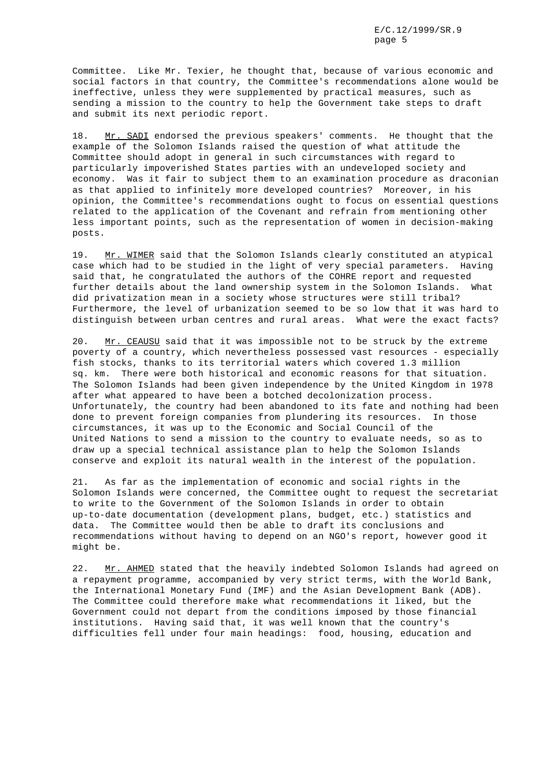Committee. Like Mr. Texier, he thought that, because of various economic and social factors in that country, the Committee's recommendations alone would be ineffective, unless they were supplemented by practical measures, such as sending a mission to the country to help the Government take steps to draft and submit its next periodic report.

18. Mr. SADI endorsed the previous speakers' comments. He thought that the example of the Solomon Islands raised the question of what attitude the Committee should adopt in general in such circumstances with regard to particularly impoverished States parties with an undeveloped society and economy. Was it fair to subject them to an examination procedure as draconian as that applied to infinitely more developed countries? Moreover, in his opinion, the Committee's recommendations ought to focus on essential questions related to the application of the Covenant and refrain from mentioning other less important points, such as the representation of women in decision-making posts.

19. Mr. WIMER said that the Solomon Islands clearly constituted an atypical case which had to be studied in the light of very special parameters. Having said that, he congratulated the authors of the COHRE report and requested further details about the land ownership system in the Solomon Islands. What did privatization mean in a society whose structures were still tribal? Furthermore, the level of urbanization seemed to be so low that it was hard to distinguish between urban centres and rural areas. What were the exact facts?

20. Mr. CEAUSU said that it was impossible not to be struck by the extreme poverty of a country, which nevertheless possessed vast resources - especially fish stocks, thanks to its territorial waters which covered 1.3 million sq. km. There were both historical and economic reasons for that situation. The Solomon Islands had been given independence by the United Kingdom in 1978 after what appeared to have been a botched decolonization process. Unfortunately, the country had been abandoned to its fate and nothing had been done to prevent foreign companies from plundering its resources. In those circumstances, it was up to the Economic and Social Council of the United Nations to send a mission to the country to evaluate needs, so as to draw up a special technical assistance plan to help the Solomon Islands conserve and exploit its natural wealth in the interest of the population.

21. As far as the implementation of economic and social rights in the Solomon Islands were concerned, the Committee ought to request the secretariat to write to the Government of the Solomon Islands in order to obtain up-to-date documentation (development plans, budget, etc.) statistics and data. The Committee would then be able to draft its conclusions and recommendations without having to depend on an NGO's report, however good it might be.

22. Mr. AHMED stated that the heavily indebted Solomon Islands had agreed on a repayment programme, accompanied by very strict terms, with the World Bank, the International Monetary Fund (IMF) and the Asian Development Bank (ADB). The Committee could therefore make what recommendations it liked, but the Government could not depart from the conditions imposed by those financial institutions. Having said that, it was well known that the country's difficulties fell under four main headings: food, housing, education and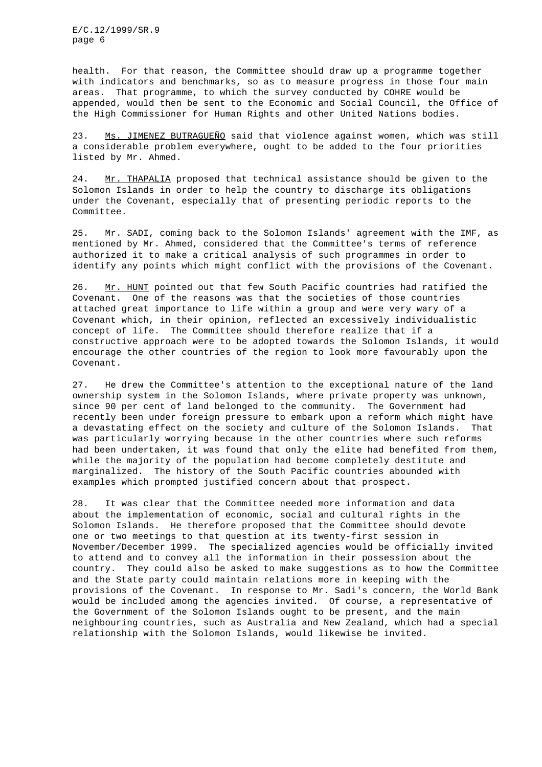health. For that reason, the Committee should draw up a programme together with indicators and benchmarks, so as to measure progress in those four main areas. That programme, to which the survey conducted by COHRE would be appended, would then be sent to the Economic and Social Council, the Office of the High Commissioner for Human Rights and other United Nations bodies.

23. Ms. JIMENEZ BUTRAGUEÑO said that violence against women, which was still a considerable problem everywhere, ought to be added to the four priorities listed by Mr. Ahmed.

24. Mr. THAPALIA proposed that technical assistance should be given to the Solomon Islands in order to help the country to discharge its obligations under the Covenant, especially that of presenting periodic reports to the Committee.

25. Mr. SADI, coming back to the Solomon Islands' agreement with the IMF, as mentioned by Mr. Ahmed, considered that the Committee's terms of reference authorized it to make a critical analysis of such programmes in order to identify any points which might conflict with the provisions of the Covenant.

26. Mr. HUNT pointed out that few South Pacific countries had ratified the Covenant. One of the reasons was that the societies of those countries attached great importance to life within a group and were very wary of a Covenant which, in their opinion, reflected an excessively individualistic concept of life. The Committee should therefore realize that if a constructive approach were to be adopted towards the Solomon Islands, it would encourage the other countries of the region to look more favourably upon the Covenant.

27. He drew the Committee's attention to the exceptional nature of the land ownership system in the Solomon Islands, where private property was unknown, since 90 per cent of land belonged to the community. The Government had recently been under foreign pressure to embark upon a reform which might have a devastating effect on the society and culture of the Solomon Islands. That was particularly worrying because in the other countries where such reforms had been undertaken, it was found that only the elite had benefited from them, while the majority of the population had become completely destitute and marginalized. The history of the South Pacific countries abounded with examples which prompted justified concern about that prospect.

28. It was clear that the Committee needed more information and data about the implementation of economic, social and cultural rights in the Solomon Islands. He therefore proposed that the Committee should devote one or two meetings to that question at its twenty-first session in November/December 1999. The specialized agencies would be officially invited to attend and to convey all the information in their possession about the country. They could also be asked to make suggestions as to how the Committee and the State party could maintain relations more in keeping with the provisions of the Covenant. In response to Mr. Sadi's concern, the World Bank would be included among the agencies invited. Of course, a representative of the Government of the Solomon Islands ought to be present, and the main neighbouring countries, such as Australia and New Zealand, which had a special relationship with the Solomon Islands, would likewise be invited.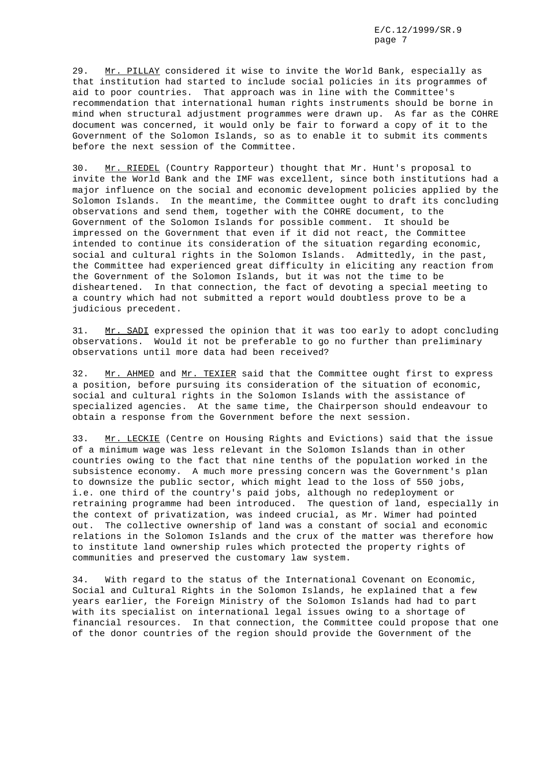29. Mr. PILLAY considered it wise to invite the World Bank, especially as that institution had started to include social policies in its programmes of aid to poor countries. That approach was in line with the Committee's recommendation that international human rights instruments should be borne in mind when structural adjustment programmes were drawn up. As far as the COHRE document was concerned, it would only be fair to forward a copy of it to the Government of the Solomon Islands, so as to enable it to submit its comments before the next session of the Committee.

30. Mr. RIEDEL (Country Rapporteur) thought that Mr. Hunt's proposal to invite the World Bank and the IMF was excellent, since both institutions had a major influence on the social and economic development policies applied by the Solomon Islands. In the meantime, the Committee ought to draft its concluding observations and send them, together with the COHRE document, to the Government of the Solomon Islands for possible comment. It should be impressed on the Government that even if it did not react, the Committee intended to continue its consideration of the situation regarding economic, social and cultural rights in the Solomon Islands. Admittedly, in the past, the Committee had experienced great difficulty in eliciting any reaction from the Government of the Solomon Islands, but it was not the time to be disheartened. In that connection, the fact of devoting a special meeting to a country which had not submitted a report would doubtless prove to be a judicious precedent.

31. Mr. SADI expressed the opinion that it was too early to adopt concluding observations. Would it not be preferable to go no further than preliminary observations until more data had been received?

32. Mr. AHMED and Mr. TEXIER said that the Committee ought first to express a position, before pursuing its consideration of the situation of economic, social and cultural rights in the Solomon Islands with the assistance of specialized agencies. At the same time, the Chairperson should endeavour to obtain a response from the Government before the next session.

33. Mr. LECKIE (Centre on Housing Rights and Evictions) said that the issue of a minimum wage was less relevant in the Solomon Islands than in other countries owing to the fact that nine tenths of the population worked in the subsistence economy. A much more pressing concern was the Government's plan to downsize the public sector, which might lead to the loss of 550 jobs, i.e. one third of the country's paid jobs, although no redeployment or retraining programme had been introduced. The question of land, especially in the context of privatization, was indeed crucial, as Mr. Wimer had pointed out. The collective ownership of land was a constant of social and economic relations in the Solomon Islands and the crux of the matter was therefore how to institute land ownership rules which protected the property rights of communities and preserved the customary law system.

34. With regard to the status of the International Covenant on Economic, Social and Cultural Rights in the Solomon Islands, he explained that a few years earlier, the Foreign Ministry of the Solomon Islands had had to part with its specialist on international legal issues owing to a shortage of financial resources. In that connection, the Committee could propose that one of the donor countries of the region should provide the Government of the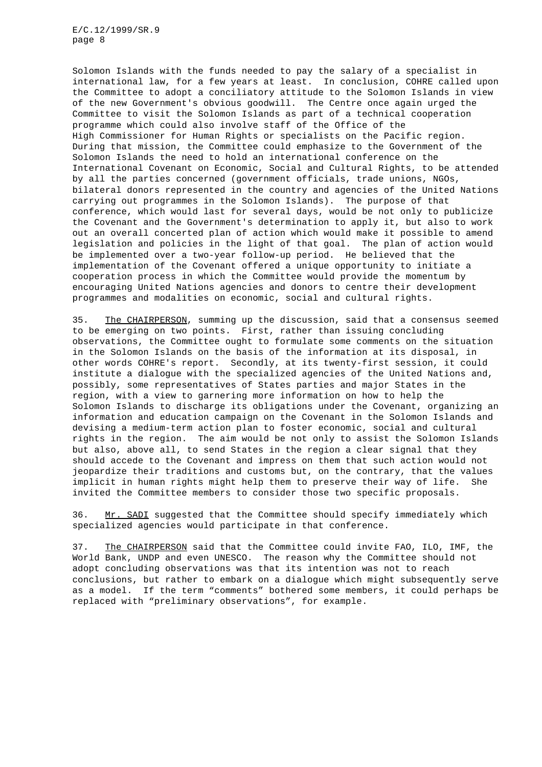Solomon Islands with the funds needed to pay the salary of a specialist in international law, for a few years at least. In conclusion, COHRE called upon the Committee to adopt a conciliatory attitude to the Solomon Islands in view of the new Government's obvious goodwill. The Centre once again urged the Committee to visit the Solomon Islands as part of a technical cooperation programme which could also involve staff of the Office of the High Commissioner for Human Rights or specialists on the Pacific region. During that mission, the Committee could emphasize to the Government of the Solomon Islands the need to hold an international conference on the International Covenant on Economic, Social and Cultural Rights, to be attended by all the parties concerned (government officials, trade unions, NGOs, bilateral donors represented in the country and agencies of the United Nations carrying out programmes in the Solomon Islands). The purpose of that conference, which would last for several days, would be not only to publicize the Covenant and the Government's determination to apply it, but also to work out an overall concerted plan of action which would make it possible to amend legislation and policies in the light of that goal. The plan of action would be implemented over a two-year follow-up period. He believed that the implementation of the Covenant offered a unique opportunity to initiate a cooperation process in which the Committee would provide the momentum by encouraging United Nations agencies and donors to centre their development programmes and modalities on economic, social and cultural rights.

35. The CHAIRPERSON, summing up the discussion, said that a consensus seemed to be emerging on two points. First, rather than issuing concluding observations, the Committee ought to formulate some comments on the situation in the Solomon Islands on the basis of the information at its disposal, in other words COHRE's report. Secondly, at its twenty-first session, it could institute a dialogue with the specialized agencies of the United Nations and, possibly, some representatives of States parties and major States in the region, with a view to garnering more information on how to help the Solomon Islands to discharge its obligations under the Covenant, organizing an information and education campaign on the Covenant in the Solomon Islands and devising a medium-term action plan to foster economic, social and cultural rights in the region. The aim would be not only to assist the Solomon Islands but also, above all, to send States in the region a clear signal that they should accede to the Covenant and impress on them that such action would not jeopardize their traditions and customs but, on the contrary, that the values implicit in human rights might help them to preserve their way of life. She invited the Committee members to consider those two specific proposals.

36. Mr. SADI suggested that the Committee should specify immediately which specialized agencies would participate in that conference.

37. The CHAIRPERSON said that the Committee could invite FAO, ILO, IMF, the World Bank, UNDP and even UNESCO. The reason why the Committee should not adopt concluding observations was that its intention was not to reach conclusions, but rather to embark on a dialogue which might subsequently serve as a model. If the term "comments" bothered some members, it could perhaps be replaced with "preliminary observations", for example.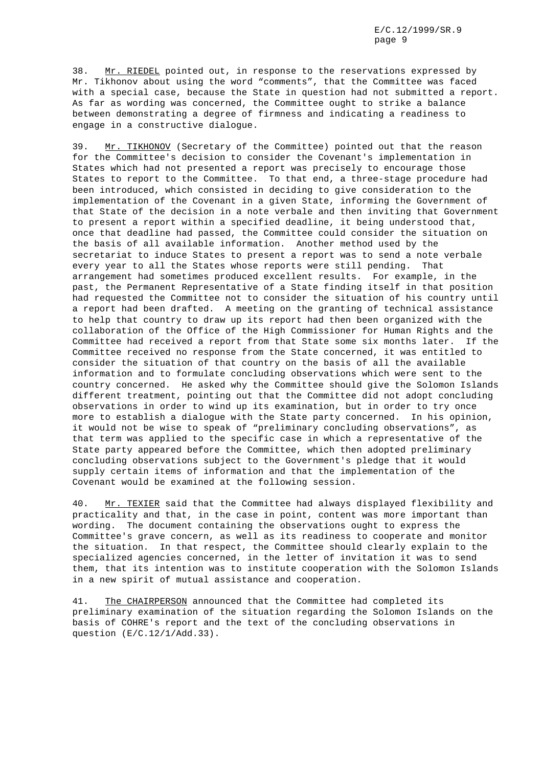38. Mr. RIEDEL pointed out, in response to the reservations expressed by Mr. Tikhonov about using the word "comments", that the Committee was faced with a special case, because the State in question had not submitted a report. As far as wording was concerned, the Committee ought to strike a balance between demonstrating a degree of firmness and indicating a readiness to engage in a constructive dialogue.

39. Mr. TIKHONOV (Secretary of the Committee) pointed out that the reason for the Committee's decision to consider the Covenant's implementation in States which had not presented a report was precisely to encourage those States to report to the Committee. To that end, a three-stage procedure had been introduced, which consisted in deciding to give consideration to the implementation of the Covenant in a given State, informing the Government of that State of the decision in a note verbale and then inviting that Government to present a report within a specified deadline, it being understood that, once that deadline had passed, the Committee could consider the situation on the basis of all available information. Another method used by the secretariat to induce States to present a report was to send a note verbale every year to all the States whose reports were still pending. That arrangement had sometimes produced excellent results. For example, in the past, the Permanent Representative of a State finding itself in that position had requested the Committee not to consider the situation of his country until a report had been drafted. A meeting on the granting of technical assistance to help that country to draw up its report had then been organized with the collaboration of the Office of the High Commissioner for Human Rights and the Committee had received a report from that State some six months later. If the Committee received no response from the State concerned, it was entitled to consider the situation of that country on the basis of all the available information and to formulate concluding observations which were sent to the country concerned. He asked why the Committee should give the Solomon Islands different treatment, pointing out that the Committee did not adopt concluding observations in order to wind up its examination, but in order to try once more to establish a dialogue with the State party concerned. In his opinion, it would not be wise to speak of "preliminary concluding observations", as that term was applied to the specific case in which a representative of the State party appeared before the Committee, which then adopted preliminary concluding observations subject to the Government's pledge that it would supply certain items of information and that the implementation of the Covenant would be examined at the following session.

40. Mr. TEXIER said that the Committee had always displayed flexibility and practicality and that, in the case in point, content was more important than wording. The document containing the observations ought to express the Committee's grave concern, as well as its readiness to cooperate and monitor the situation. In that respect, the Committee should clearly explain to the specialized agencies concerned, in the letter of invitation it was to send them, that its intention was to institute cooperation with the Solomon Islands in a new spirit of mutual assistance and cooperation.

41. The CHAIRPERSON announced that the Committee had completed its preliminary examination of the situation regarding the Solomon Islands on the basis of COHRE's report and the text of the concluding observations in question (E/C.12/1/Add.33).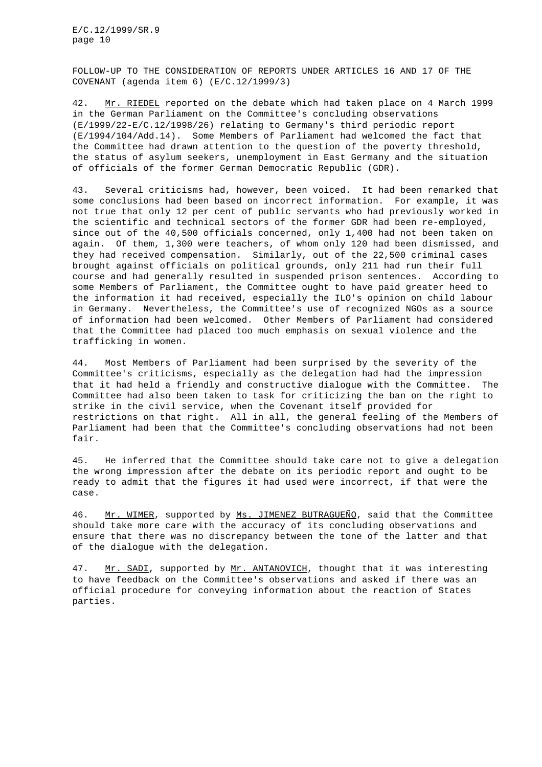FOLLOW-UP TO THE CONSIDERATION OF REPORTS UNDER ARTICLES 16 AND 17 OF THE COVENANT (agenda item 6) (E/C.12/1999/3)

42. Mr. RIEDEL reported on the debate which had taken place on 4 March 1999 in the German Parliament on the Committee's concluding observations (E/1999/22-E/C.12/1998/26) relating to Germany's third periodic report (E/1994/104/Add.14). Some Members of Parliament had welcomed the fact that the Committee had drawn attention to the question of the poverty threshold, the status of asylum seekers, unemployment in East Germany and the situation of officials of the former German Democratic Republic (GDR).

43. Several criticisms had, however, been voiced. It had been remarked that some conclusions had been based on incorrect information. For example, it was not true that only 12 per cent of public servants who had previously worked in the scientific and technical sectors of the former GDR had been re-employed, since out of the 40,500 officials concerned, only 1,400 had not been taken on again. Of them, 1,300 were teachers, of whom only 120 had been dismissed, and they had received compensation. Similarly, out of the 22,500 criminal cases brought against officials on political grounds, only 211 had run their full course and had generally resulted in suspended prison sentences. According to some Members of Parliament, the Committee ought to have paid greater heed to the information it had received, especially the ILO's opinion on child labour in Germany. Nevertheless, the Committee's use of recognized NGOs as a source of information had been welcomed. Other Members of Parliament had considered that the Committee had placed too much emphasis on sexual violence and the trafficking in women.

44. Most Members of Parliament had been surprised by the severity of the Committee's criticisms, especially as the delegation had had the impression that it had held a friendly and constructive dialogue with the Committee. The Committee had also been taken to task for criticizing the ban on the right to strike in the civil service, when the Covenant itself provided for restrictions on that right. All in all, the general feeling of the Members of Parliament had been that the Committee's concluding observations had not been fair.

45. He inferred that the Committee should take care not to give a delegation the wrong impression after the debate on its periodic report and ought to be ready to admit that the figures it had used were incorrect, if that were the case.

46. Mr. WIMER, supported by Ms. JIMENEZ BUTRAGUEÑO, said that the Committee should take more care with the accuracy of its concluding observations and ensure that there was no discrepancy between the tone of the latter and that of the dialogue with the delegation.

47. Mr. SADI, supported by Mr. ANTANOVICH, thought that it was interesting to have feedback on the Committee's observations and asked if there was an official procedure for conveying information about the reaction of States parties.